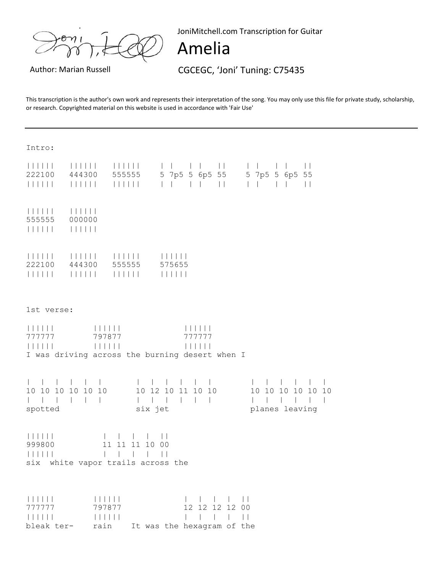JoniMitchell.com Transcription for Guitar

## Amelia

Author: Marian Russell **CGCEGC, 'Joni' Tuning: C75435** 

This transcription is the author's own work and represents their interpretation of the song. You may only use this file for private study, scholarship, or research. Copyrighted material on this website is used in accordance with 'Fair Use'

| Intro:<br>$\begin{tabular}{c} \bf{111111} \\ \bf{121111} \\ \bf{131111} \\ \bf{141111} \\ \bf{151111} \\ \bf{161111} \\ \bf{171111} \\ \bf{1811111} \\ \bf{1911111} \\ \bf{1911111} \\ \bf{1911111} \\ \bf{1911111} \\ \bf{1911111} \\ \bf{1911111} \\ \bf{1911111} \\ \bf{1911111} \\ \bf{1911111} \\ \bf{1911111} \\ \bf{$<br>222100<br>111111                                                                                                  |                                    |            |        |                                                        |                                        | <br>5 7p5 5 6p5 55 5 7p5 5 6p5 55 |  |  |  |
|---------------------------------------------------------------------------------------------------------------------------------------------------------------------------------------------------------------------------------------------------------------------------------------------------------------------------------------------------------------------------------------------------------------------------------------------------|------------------------------------|------------|--------|--------------------------------------------------------|----------------------------------------|-----------------------------------|--|--|--|
| 111111<br>555555<br>111111                                                                                                                                                                                                                                                                                                                                                                                                                        | 000000<br>111111                   |            |        |                                                        |                                        |                                   |  |  |  |
| 111111<br>222100<br>111111                                                                                                                                                                                                                                                                                                                                                                                                                        | 444300<br>111111                   | 555555<br> | 575655 |                                                        |                                        |                                   |  |  |  |
| 1st verse:<br>                      <br>$\begin{array}{c c c c c c} \hline & & & & & & & \\ \hline & & & & & & & \\ \hline & & & & & & & & \\ \hline \end{array}$<br>                      <br>777777<br>797877<br>777777<br>111111<br>                   <br>I was driving across the burning desert when I                                                                                                                                      |                                    |            |        |                                                        |                                        |                                   |  |  |  |
| 1 1 1 1 1 1<br>$\mathbb{R}$<br>10 12 10 11 10 10<br>10 10 10 10 10 10<br>10 10 10 10 10 10<br>$\begin{array}{cccccccccccccc} 1 & 1 & 1 & 1 & 1 & 1 & 1 \end{array}$<br>1 1 1 1 1 1 1<br>six jet<br>planes leaving<br>spotted                                                                                                                                                                                                                      |                                    |            |        |                                                        |                                        |                                   |  |  |  |
| 111111<br>$\perp$<br>$\mathbf{1}$<br>999800<br>11 11 11 10 00<br>111111<br>$\overline{1}$<br>$\vert \ \vert$<br>six white vapor trails across the                                                                                                                                                                                                                                                                                                 |                                    |            |        |                                                        |                                        |                                   |  |  |  |
| $\begin{tabular}{c} \bf  & \bf  & \bf  & \bf  & \bf  & \bf  \\ \bf  & \bf  & \bf  & \bf  & \bf  & \bf  \\ \bf  & \bf  & \bf  & \bf  & \bf  & \bf  \\ \bf  & \bf  & \bf  & \bf  & \bf  & \bf  \\ \bf  & \bf  & \bf  & \bf  & \bf  & \bf  \\ \bf  & \bf  & \bf  & \bf  & \bf  & \bf  \\ \bf  & \bf  & \bf  & \bf  & \bf  & \bf  \\ \bf  & \bf  & \bf  & \bf  & \bf  & \bf  & \bf  \\ \bf  & \bf  & \bf  & \bf  &$<br>777777<br>111111<br>bleak ter- | 111111<br>797877<br>111111<br>rain |            |        | 12 12 12 12 00<br>$\Box$<br>It was the hexagram of the | $1 - 1 - 1 - 11$<br>$\sim$ 1 $\sim$ 11 |                                   |  |  |  |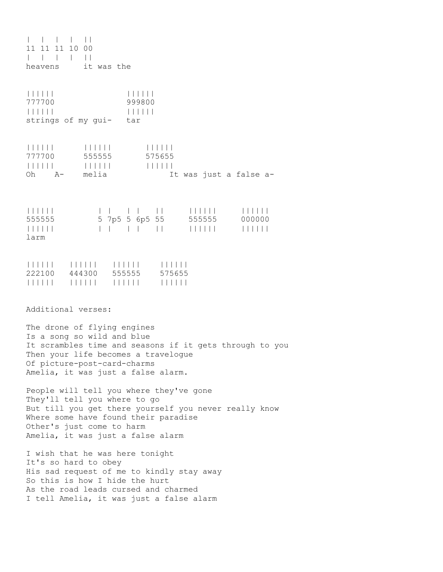| | | | || 11 11 11 10 00 | | | | || heavens it was the |||||| |||||| 777700 999800 |||||| |||||| strings of my gui- tar |||||| |||||| |||||| 777700 555555 575655 |||||| |||||| |||||| It was just a false a-|||||| | | | | || |||||| |||||| 555555 5 7p5 5 6p5 55 555555 000000 |||||| | | | | || |||||| |||||| larm |||||| |||||| |||||| |||||| 222100 444300 555555 575655 |||||| |||||| |||||| |||||| Additional verses: The drone of flying engines Is a song so wild and blue It scrambles time and seasons if it gets through to you Then your life becomes a travelogue Of picture-post-card-charms Amelia, it was just a false alarm. People will tell you where they've gone They'll tell you where to go But till you get there yourself you never really know Where some have found their paradise Other's just come to harm Amelia, it was just a false alarm I wish that he was here tonight It's so hard to obey His sad request of me to kindly stay away So this is how I hide the hurt As the road leads cursed and charmed I tell Amelia, it was just a false alarm